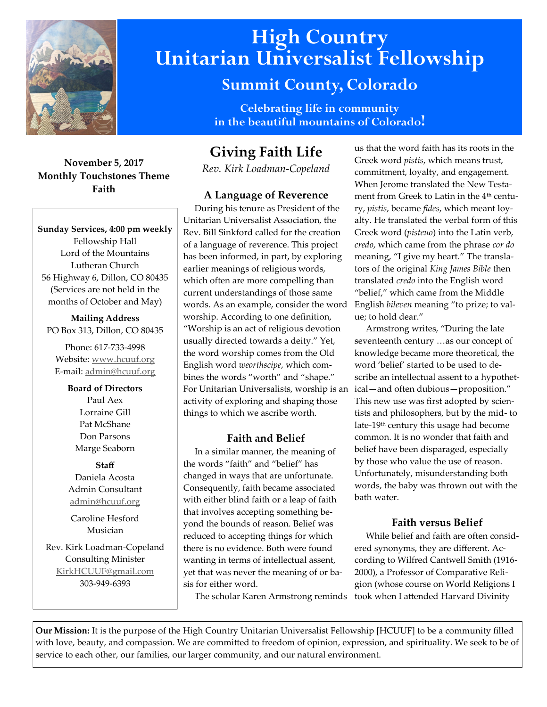

# **High Country Unitarian Universalist Fellowship**

# **Summit County, Colorado**

**Celebrating life in community in the beautiful mountains of Colorado!** 

# **November 5, 2017 Monthly Touchstones Theme Faith**

**Sunday Services, 4:00 pm weekly** Fellowship Hall Lord of the Mountains Lutheran Church 56 Highway 6, Dillon, CO 80435 (Services are not held in the months of October and May)

**Mailing Address** PO Box 313, Dillon, CO 80435

Phone: 617-733-4998 Website: [www.hcuuf.org](http://www.hcuuf.org/) E-mail: [admin@hcuuf.org](mailto:admin@hcuuf.org)

> **Board of Directors** Paul Aex Lorraine Gill Pat McShane Don Parsons Marge Seaborn

**Staff** Daniela Acosta Admin Consultant [admin@hcuuf.org](mailto:admin@hcuuf.org)

Caroline Hesford Musician

Rev. Kirk Loadman-Copeland Consulting Minister [KirkHCUUF@gmail.com](mailto:KirkHCUUF@gmail.com) 303-949-6393

# **Giving Faith Life**

*Rev. Kirk Loadman-Copeland*

# **A Language of Reverence**

 During his tenure as President of the Unitarian Universalist Association, the Rev. Bill Sinkford called for the creation of a language of reverence. This project has been informed, in part, by exploring earlier meanings of religious words, which often are more compelling than current understandings of those same words. As an example, consider the word worship. According to one definition, "Worship is an act of religious devotion usually directed towards a deity." Yet, the word worship comes from the Old English word *weorthscipe*, which combines the words "worth" and "shape." For Unitarian Universalists, worship is an activity of exploring and shaping those things to which we ascribe worth.

# **Faith and Belief**

 In a similar manner, the meaning of the words "faith" and "belief" has changed in ways that are unfortunate. Consequently, faith became associated with either blind faith or a leap of faith that involves accepting something beyond the bounds of reason. Belief was reduced to accepting things for which there is no evidence. Both were found wanting in terms of intellectual assent, yet that was never the meaning of or basis for either word.

The scholar Karen Armstrong reminds

us that the word faith has its roots in the Greek word *pistis*, which means trust, commitment, loyalty, and engagement. When Jerome translated the New Testament from Greek to Latin in the 4<sup>th</sup> century, *pistis*, became *fides*, which meant loyalty. He translated the verbal form of this Greek word (*pisteuo*) into the Latin verb, *credo*, which came from the phrase *cor do* meaning, "I give my heart." The translators of the original *King James Bible* then translated *credo* into the English word "belief," which came from the Middle English *bileven* meaning "to prize; to value; to hold dear."

 Armstrong writes, "During the late seventeenth century …as our concept of knowledge became more theoretical, the word 'belief' started to be used to describe an intellectual assent to a hypothetical—and often dubious—proposition." This new use was first adopted by scientists and philosophers, but by the mid- to late-19th century this usage had become common. It is no wonder that faith and belief have been disparaged, especially by those who value the use of reason. Unfortunately, misunderstanding both words, the baby was thrown out with the bath water.

# **Faith versus Belief**

 While belief and faith are often considered synonyms, they are different. According to Wilfred Cantwell Smith (1916- 2000), a Professor of Comparative Religion (whose course on World Religions I took when I attended Harvard Divinity

**Our Mission:** It is the purpose of the High Country Unitarian Universalist Fellowship [HCUUF] to be a community filled with love, beauty, and compassion. We are committed to freedom of opinion, expression, and spirituality. We seek to be of service to each other, our families, our larger community, and our natural environment.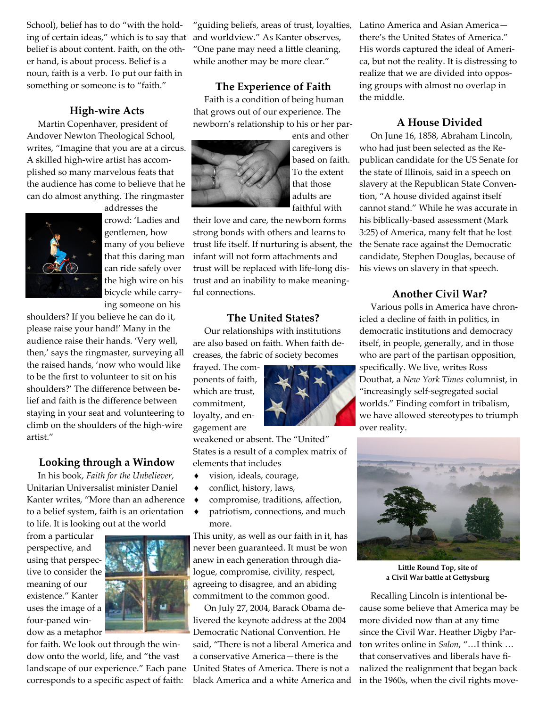School), belief has to do "with the holding of certain ideas," which is to say that belief is about content. Faith, on the other hand, is about process. Belief is a noun, faith is a verb. To put our faith in something or someone is to "faith."

#### **High-wire Acts**

 Martin Copenhaver, president of Andover Newton Theological School, writes, "Imagine that you are at a circus. A skilled high-wire artist has accomplished so many marvelous feats that the audience has come to believe that he can do almost anything. The ringmaster



addresses the crowd: 'Ladies and gentlemen, how many of you believe that this daring man can ride safely over the high wire on his bicycle while carrying someone on his

shoulders? If you believe he can do it, please raise your hand!' Many in the audience raise their hands. 'Very well, then,' says the ringmaster, surveying all the raised hands, 'now who would like to be the first to volunteer to sit on his shoulders?' The difference between belief and faith is the difference between staying in your seat and volunteering to climb on the shoulders of the high-wire artist."

#### **Looking through a Window**

 In his book, *Faith for the Unbeliever*, Unitarian Universalist minister Daniel Kanter writes, "More than an adherence to a belief system, faith is an orientation to life. It is looking out at the world

from a particular perspective, and using that perspective to consider the meaning of our existence." Kanter uses the image of a four-paned window as a metaphor



for faith. We look out through the window onto the world, life, and "the vast landscape of our experience." Each pane corresponds to a specific aspect of faith:

"guiding beliefs, areas of trust, loyalties, and worldview." As Kanter observes, "One pane may need a little cleaning, while another may be more clear."

### **The Experience of Faith**

 Faith is a condition of being human that grows out of our experience. The newborn's relationship to his or her par-



ents and other caregivers is based on faith. To the extent that those adults are faithful with

their love and care, the newborn forms strong bonds with others and learns to trust life itself. If nurturing is absent, the infant will not form attachments and trust will be replaced with life-long distrust and an inability to make meaningful connections.

#### **The United States?**

 Our relationships with institutions are also based on faith. When faith decreases, the fabric of society becomes

frayed. The components of faith, which are trust, commitment, loyalty, and engagement are

weakened or absent. The "United" States is a result of a complex matrix of elements that includes

- vision, ideals, courage,
- conflict, history, laws,
- compromise, traditions, affection,
- patriotism, connections, and much more.

This unity, as well as our faith in it, has never been guaranteed. It must be won anew in each generation through dialogue, compromise, civility, respect, agreeing to disagree, and an abiding commitment to the common good.

 On July 27, 2004, Barack Obama delivered the keynote address at the 2004 Democratic National Convention. He said, "There is not a liberal America and a conservative America—there is the United States of America. There is not a black America and a white America and

Latino America and Asian America there's the United States of America." His words captured the ideal of America, but not the reality. It is distressing to realize that we are divided into opposing groups with almost no overlap in the middle.

#### **A House Divided**

 On June 16, 1858, Abraham Lincoln, who had just been selected as the Republican candidate for the US Senate for the state of Illinois, said in a speech on slavery at the Republican State Convention, "A house divided against itself cannot stand." While he was accurate in his biblically-based assessment (Mark 3:25) of America, many felt that he lost the Senate race against the Democratic candidate, Stephen Douglas, because of his views on slavery in that speech.

#### **Another Civil War?**

 Various polls in America have chronicled a decline of faith in politics, in democratic institutions and democracy itself, in people, generally, and in those who are part of the partisan opposition, specifically. We live, writes Ross Douthat, a *New York Times* columnist, in "increasingly self-segregated social worlds." Finding comfort in tribalism, we have allowed stereotypes to triumph over reality.



**Little Round Top, site of a Civil War battle at Gettysburg**

 Recalling Lincoln is intentional because some believe that America may be more divided now than at any time since the Civil War. Heather Digby Parton writes online in *Salon*, "…I think … that conservatives and liberals have finalized the realignment that began back in the 1960s, when the civil rights move-

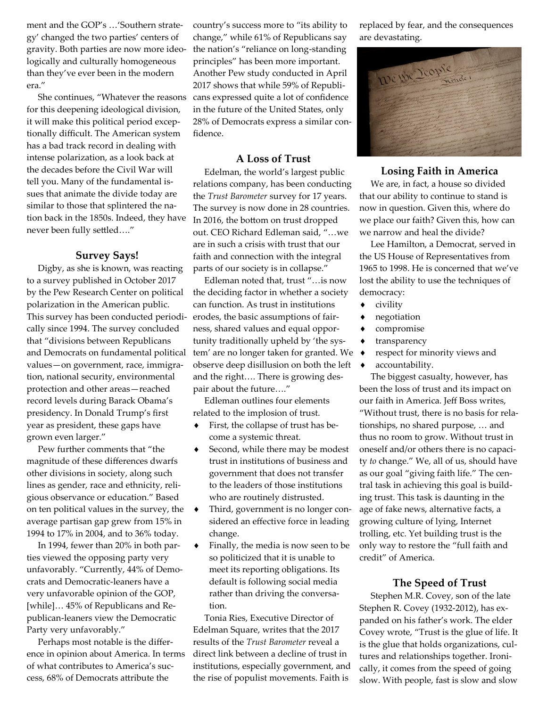ment and the GOP's …'Southern strategy' changed the two parties' centers of gravity. Both parties are now more ideologically and culturally homogeneous than they've ever been in the modern era."

 She continues, "Whatever the reasons for this deepening ideological division, it will make this political period exceptionally difficult. The American system has a bad track record in dealing with intense polarization, as a look back at the decades before the Civil War will tell you. Many of the fundamental issues that animate the divide today are similar to those that splintered the nation back in the 1850s. Indeed, they have never been fully settled…."

#### **Survey Says!**

 Digby, as she is known, was reacting to a survey published in October 2017 by the Pew Research Center on political polarization in the American public. This survey has been conducted periodically since 1994. The survey concluded that "divisions between Republicans and Democrats on fundamental political values—on government, race, immigration, national security, environmental protection and other areas—reached record levels during Barack Obama's presidency. In Donald Trump's first year as president, these gaps have grown even larger."

 Pew further comments that "the magnitude of these differences dwarfs other divisions in society, along such lines as gender, race and ethnicity, religious observance or education." Based on ten political values in the survey, the average partisan gap grew from 15% in 1994 to 17% in 2004, and to 36% today.

 In 1994, fewer than 20% in both parties viewed the opposing party very unfavorably. "Currently, 44% of Democrats and Democratic-leaners have a very unfavorable opinion of the GOP, [while]… 45% of Republicans and Republican-leaners view the Democratic Party very unfavorably."

 Perhaps most notable is the difference in opinion about America. In terms of what contributes to America's success, 68% of Democrats attribute the

country's success more to "its ability to change," while 61% of Republicans say the nation's "reliance on long-standing principles" has been more important. Another Pew study conducted in April 2017 shows that while 59% of Republicans expressed quite a lot of confidence in the future of the United States, only 28% of Democrats express a similar confidence.

#### **A Loss of Trust**

 Edelman, the world's largest public relations company, has been conducting the *Trust Barometer* survey for 17 years. The survey is now done in 28 countries. In 2016, the bottom on trust dropped out. CEO Richard Edleman said, "…we are in such a crisis with trust that our faith and connection with the integral parts of our society is in collapse."

 Edleman noted that, trust "…is now the deciding factor in whether a society can function. As trust in institutions erodes, the basic assumptions of fairness, shared values and equal opportunity traditionally upheld by 'the system' are no longer taken for granted. We observe deep disillusion on both the left and the right…. There is growing despair about the future…."

 Edleman outlines four elements related to the implosion of trust.

- First, the collapse of trust has become a systemic threat.
- ◆ Second, while there may be modest trust in institutions of business and government that does not transfer to the leaders of those institutions who are routinely distrusted.
- Third, government is no longer considered an effective force in leading change.
- Finally, the media is now seen to be so politicized that it is unable to meet its reporting obligations. Its default is following social media rather than driving the conversation.

 Tonia Ries, Executive Director of Edelman Square, writes that the 2017 results of the *Trust Barometer* reveal a direct link between a decline of trust in institutions, especially government, and the rise of populist movements. Faith is

replaced by fear, and the consequences are devastating.



#### **Losing Faith in America**

 We are, in fact, a house so divided that our ability to continue to stand is now in question. Given this, where do we place our faith? Given this, how can we narrow and heal the divide?

 Lee Hamilton, a Democrat, served in the US House of Representatives from 1965 to 1998. He is concerned that we've lost the ability to use the techniques of democracy:

- civility
- negotiation
- compromise
- transparency
- respect for minority views and
- accountability.

 The biggest casualty, however, has been the loss of trust and its impact on our faith in America. Jeff Boss writes, "Without trust, there is no basis for relationships, no shared purpose, … and thus no room to grow. Without trust in oneself and/or others there is no capacity *to* change." We, all of us, should have as our goal "giving faith life." The central task in achieving this goal is building trust. This task is daunting in the age of fake news, alternative facts, a growing culture of lying, Internet trolling, etc. Yet building trust is the only way to restore the "full faith and credit" of America.

#### **The Speed of Trust**

 Stephen M.R. Covey, son of the late Stephen R. Covey (1932-2012), has expanded on his father's work. The elder Covey wrote, "Trust is the glue of life. It is the glue that holds organizations, cultures and relationships together. Ironically, it comes from the speed of going slow. With people, fast is slow and slow